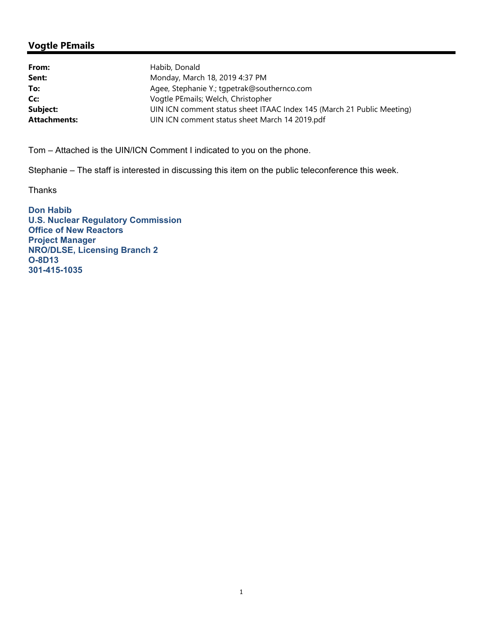## **Vogtle PEmails**

| From:               | Habib, Donald                                                          |
|---------------------|------------------------------------------------------------------------|
| Sent:               | Monday, March 18, 2019 4:37 PM                                         |
| To:                 | Agee, Stephanie Y.; tgpetrak@southernco.com                            |
| Cc:                 | Vogtle PEmails; Welch, Christopher                                     |
| Subject:            | UIN ICN comment status sheet ITAAC Index 145 (March 21 Public Meeting) |
| <b>Attachments:</b> | UIN ICN comment status sheet March 14 2019.pdf                         |

Tom – Attached is the UIN/ICN Comment I indicated to you on the phone.

Stephanie – The staff is interested in discussing this item on the public teleconference this week.

Thanks

**Don Habib U.S. Nuclear Regulatory Commission Office of New Reactors Project Manager NRO/DLSE, Licensing Branch 2 O-8D13 301-415-1035**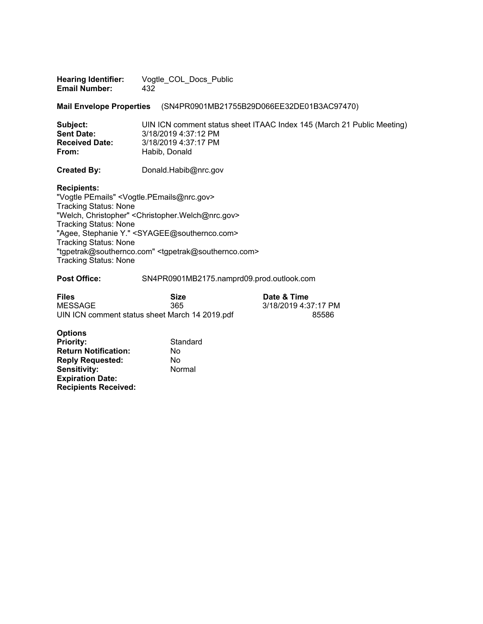| <b>Hearing Identifier:</b> | Vogtle COL Docs Public |
|----------------------------|------------------------|
| <b>Email Number:</b>       | 432                    |

**Mail Envelope Properties** (SN4PR0901MB21755B29D066EE32DE01B3AC97470)

| Subject:              | UIN ICN comment status sheet ITAAC Index 145 (March 21 Public Meeting) |
|-----------------------|------------------------------------------------------------------------|
| <b>Sent Date:</b>     |                                                                        |
| <b>Received Date:</b> | 3/18/2019 4:37:17 PM                                                   |
| From:                 | Habib, Donald                                                          |
|                       |                                                                        |

**Created By:** Donald.Habib@nrc.gov

**Recipients:** 

"Vogtle PEmails" <Vogtle.PEmails@nrc.gov> Tracking Status: None "Welch, Christopher" <Christopher.Welch@nrc.gov> Tracking Status: None "Agee, Stephanie Y." <SYAGEE@southernco.com> Tracking Status: None "tgpetrak@southernco.com" <tgpetrak@southernco.com> Tracking Status: None

## Post Office: SN4PR0901MB2175.namprd09.prod.outlook.com

| <b>Files</b> | <b>Size</b>                                    | Date & Time          |  |
|--------------|------------------------------------------------|----------------------|--|
| MESSAGE      | 365                                            | 3/18/2019 4:37:17 PM |  |
|              | UIN ICN comment status sheet March 14 2019.pdf | 85586                |  |

**Date & Time** 3/18/2019 4:37:17 PM

| <b>Options</b>              |          |
|-----------------------------|----------|
| <b>Priority:</b>            | Standard |
| <b>Return Notification:</b> | No       |
| <b>Reply Requested:</b>     | No       |
| Sensitivity:                | Normal   |
| <b>Expiration Date:</b>     |          |
| <b>Recipients Received:</b> |          |